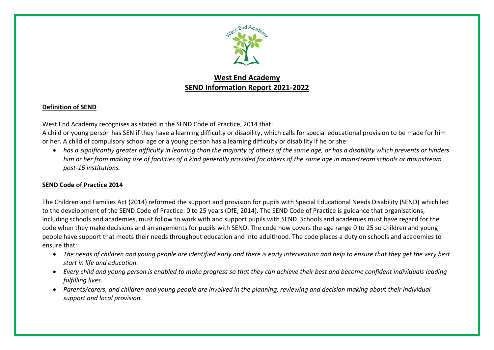

# **West End Academy SEND Information Report 2021-2022**

## **Definition of SEND**

West End Academy recognises as stated in the SEND Code of Practice, 2014 that:

A child or young person has SEN if they have a learning difficulty or disability, which calls for special educational provision to be made for him or her. A child of compulsory school age or a young person has a learning difficulty or disability if he or she:

 *has a significantly greater difficulty in learning than the majority of others of the same age, or has a disability which prevents or hinders him or her from making use of facilities of a kind generally provided for others of the same age in mainstream schools or mainstream post-16 institutions.*

## **SEND Code of Practice 2014**

The Children and Families Act (2014) reformed the support and provision for pupils with Special Educational Needs Disability (SEND) which led to the development of the SEND Code of Practice: 0 to 25 years (DfE, 2014). The SEND Code of Practice is guidance that organisations, including schools and academies, must follow to work with and support pupils with SEND. Schools and academies must have regard for the code when they make decisions and arrangements for pupils with SEND. The code now covers the age range 0 to 25 so children and young people have support that meets their needs throughout education and into adulthood. The code places a duty on schools and academies to ensure that:

- *The needs of children and young people are identified early and there is early intervention and help to ensure that they get the very best start in life and education.*
- Every child and young person is enabled to make progress so that they can achieve their best and become confident individuals leading *fulfilling lives.*
- *Parents/carers, and children and young people are involved in the planning, reviewing and decision making about their individual support and local provision.*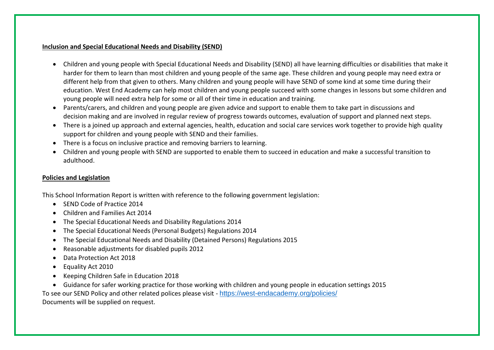#### **Inclusion and Special Educational Needs and Disability (SEND)**

- Children and young people with Special Educational Needs and Disability (SEND) all have learning difficulties or disabilities that make it harder for them to learn than most children and young people of the same age. These children and young people may need extra or different help from that given to others. Many children and young people will have SEND of some kind at some time during their education. West End Academy can help most children and young people succeed with some changes in lessons but some children and young people will need extra help for some or all of their time in education and training.
- Parents/carers, and children and young people are given advice and support to enable them to take part in discussions and decision making and are involved in regular review of progress towards outcomes, evaluation of support and planned next steps.
- There is a joined up approach and external agencies, health, education and social care services work together to provide high quality support for children and young people with SEND and their families.
- There is a focus on inclusive practice and removing barriers to learning.
- Children and young people with SEND are supported to enable them to succeed in education and make a successful transition to adulthood.

#### **Policies and Legislation**

This School Information Report is written with reference to the following government legislation:

- SEND Code of Practice 2014
- Children and Families Act 2014
- The Special Educational Needs and Disability Regulations 2014
- The Special Educational Needs (Personal Budgets) Regulations 2014
- The Special Educational Needs and Disability (Detained Persons) Regulations 2015
- Reasonable adjustments for disabled pupils 2012
- Data Protection Act 2018
- Equality Act 2010
- Keeping Children Safe in Education 2018
- Guidance for safer working practice for those working with children and young people in education settings 2015

To see our SEND Policy and other related polices please visit - <https://west-endacademy.org/policies/> Documents will be supplied on request.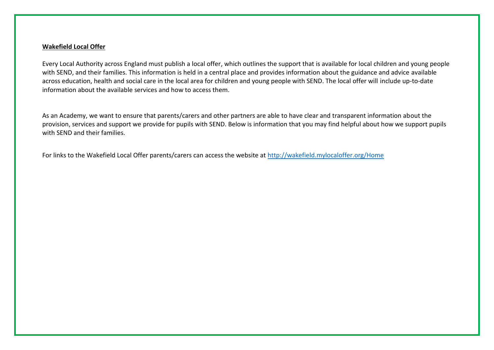#### **Wakefield Local Offer**

Every Local Authority across England must publish a local offer, which outlines the support that is available for local children and young people with SEND, and their families. This information is held in a central place and provides information about the guidance and advice available across education, health and social care in the local area for children and young people with SEND. The local offer will include up-to-date information about the available services and how to access them.

As an Academy, we want to ensure that parents/carers and other partners are able to have clear and transparent information about the provision, services and support we provide for pupils with SEND. Below is information that you may find helpful about how we support pupils with SEND and their families.

For links to the Wakefield Local Offer parents/carers can access the website at<http://wakefield.mylocaloffer.org/Home>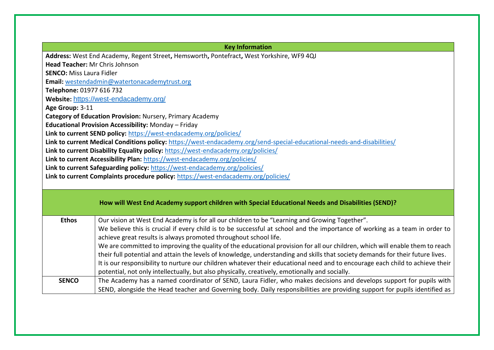| <b>Key Information</b>         |                                                                                                                                                                                                                       |  |  |
|--------------------------------|-----------------------------------------------------------------------------------------------------------------------------------------------------------------------------------------------------------------------|--|--|
|                                | Address: West End Academy, Regent Street, Hemsworth, Pontefract, West Yorkshire, WF9 4QJ                                                                                                                              |  |  |
| Head Teacher: Mr Chris Johnson |                                                                                                                                                                                                                       |  |  |
|                                | <b>SENCO:</b> Miss Laura Fidler                                                                                                                                                                                       |  |  |
|                                | Email: westendadmin@watertonacademytrust.org                                                                                                                                                                          |  |  |
| Telephone: 01977 616 732       |                                                                                                                                                                                                                       |  |  |
|                                | Website: https://west-endacademy.org/                                                                                                                                                                                 |  |  |
| Age Group: 3-11                |                                                                                                                                                                                                                       |  |  |
|                                | Category of Education Provision: Nursery, Primary Academy                                                                                                                                                             |  |  |
|                                | Educational Provision Accessibility: Monday - Friday                                                                                                                                                                  |  |  |
|                                | Link to current SEND policy: https://west-endacademy.org/policies/                                                                                                                                                    |  |  |
|                                | Link to current Medical Conditions policy: https://west-endacademy.org/send-special-educational-needs-and-disabilities/                                                                                               |  |  |
|                                | Link to current Disability Equality policy: https://west-endacademy.org/policies/                                                                                                                                     |  |  |
|                                | Link to current Accessibility Plan: https://west-endacademy.org/policies/                                                                                                                                             |  |  |
|                                | Link to current Safeguarding policy: https://west-endacademy.org/policies/                                                                                                                                            |  |  |
|                                | Link to current Complaints procedure policy: https://west-endacademy.org/policies/                                                                                                                                    |  |  |
|                                |                                                                                                                                                                                                                       |  |  |
|                                |                                                                                                                                                                                                                       |  |  |
|                                | How will West End Academy support children with Special Educational Needs and Disabilities (SEND)?                                                                                                                    |  |  |
|                                |                                                                                                                                                                                                                       |  |  |
| <b>Ethos</b>                   | Our vision at West End Academy is for all our children to be "Learning and Growing Together".                                                                                                                         |  |  |
|                                | We believe this is crucial if every child is to be successful at school and the importance of working as a team in order to                                                                                           |  |  |
|                                | achieve great results is always promoted throughout school life.                                                                                                                                                      |  |  |
|                                |                                                                                                                                                                                                                       |  |  |
|                                |                                                                                                                                                                                                                       |  |  |
|                                | We are committed to improving the quality of the educational provision for all our children, which will enable them to reach                                                                                          |  |  |
|                                | their full potential and attain the levels of knowledge, understanding and skills that society demands for their future lives.                                                                                        |  |  |
|                                | It is our responsibility to nurture our children whatever their educational need and to encourage each child to achieve their                                                                                         |  |  |
| <b>SENCO</b>                   | potential, not only intellectually, but also physically, creatively, emotionally and socially.<br>The Academy has a named coordinator of SEND, Laura Fidler, who makes decisions and develops support for pupils with |  |  |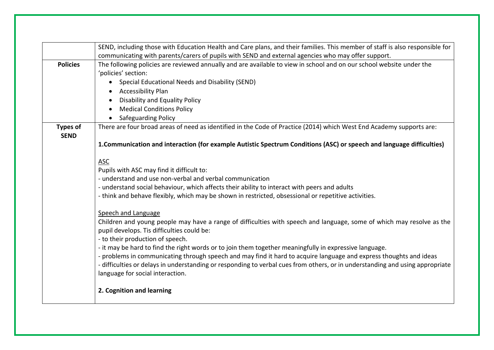|                                | SEND, including those with Education Health and Care plans, and their families. This member of staff is also responsible for<br>communicating with parents/carers of pupils with SEND and external agencies who may offer support.                                                                                                                                                                                                                                                                                                                                                                                                  |  |  |
|--------------------------------|-------------------------------------------------------------------------------------------------------------------------------------------------------------------------------------------------------------------------------------------------------------------------------------------------------------------------------------------------------------------------------------------------------------------------------------------------------------------------------------------------------------------------------------------------------------------------------------------------------------------------------------|--|--|
| <b>Policies</b>                | The following policies are reviewed annually and are available to view in school and on our school website under the<br>'policies' section:<br>Special Educational Needs and Disability (SEND)<br>$\bullet$<br><b>Accessibility Plan</b><br>$\bullet$<br><b>Disability and Equality Policy</b><br><b>Medical Conditions Policy</b><br>$\bullet$                                                                                                                                                                                                                                                                                     |  |  |
| <b>Types of</b><br><b>SEND</b> | • Safeguarding Policy<br>There are four broad areas of need as identified in the Code of Practice (2014) which West End Academy supports are:<br>1. Communication and interaction (for example Autistic Spectrum Conditions (ASC) or speech and language difficulties)                                                                                                                                                                                                                                                                                                                                                              |  |  |
|                                | <b>ASC</b><br>Pupils with ASC may find it difficult to:<br>- understand and use non-verbal and verbal communication<br>- understand social behaviour, which affects their ability to interact with peers and adults<br>- think and behave flexibly, which may be shown in restricted, obsessional or repetitive activities.                                                                                                                                                                                                                                                                                                         |  |  |
|                                | Speech and Language<br>Children and young people may have a range of difficulties with speech and language, some of which may resolve as the<br>pupil develops. Tis difficulties could be:<br>- to their production of speech.<br>- it may be hard to find the right words or to join them together meaningfully in expressive language.<br>- problems in communicating through speech and may find it hard to acquire language and express thoughts and ideas<br>- difficulties or delays in understanding or responding to verbal cues from others, or in understanding and using appropriate<br>language for social interaction. |  |  |
|                                | 2. Cognition and learning                                                                                                                                                                                                                                                                                                                                                                                                                                                                                                                                                                                                           |  |  |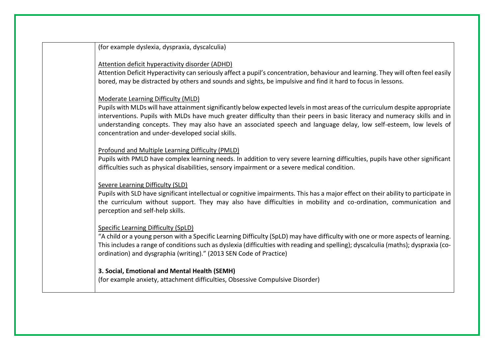(for example dyslexia, dyspraxia, dyscalculia)

#### Attention deficit hyperactivity disorder (ADHD)

Attention Deficit Hyperactivity can seriously affect a pupil's concentration, behaviour and learning. They will often feel easily bored, may be distracted by others and sounds and sights, be impulsive and find it hard to focus in lessons.

#### Moderate Learning Difficulty (MLD)

Pupils with MLDs will have attainment significantly below expected levels in most areas of the curriculum despite appropriate interventions. Pupils with MLDs have much greater difficulty than their peers in basic literacy and numeracy skills and in understanding concepts. They may also have an associated speech and language delay, low self-esteem, low levels of concentration and under-developed social skills.

### Profound and Multiple Learning Difficulty (PMLD)

Pupils with PMLD have complex learning needs. In addition to very severe learning difficulties, pupils have other significant difficulties such as physical disabilities, sensory impairment or a severe medical condition.

#### Severe Learning Difficulty (SLD)

Pupils with SLD have significant intellectual or cognitive impairments. This has a major effect on their ability to participate in the curriculum without support. They may also have difficulties in mobility and co-ordination, communication and perception and self-help skills.

## Specific Learning Difficulty (SpLD)

"A child or a young person with a Specific Learning Difficulty (SpLD) may have difficulty with one or more aspects of learning. This includes a range of conditions such as dyslexia (difficulties with reading and spelling); dyscalculia (maths); dyspraxia (coordination) and dysgraphia (writing)." (2013 SEN Code of Practice)

## **3. Social, Emotional and Mental Health (SEMH)**

(for example anxiety, attachment difficulties, Obsessive Compulsive Disorder)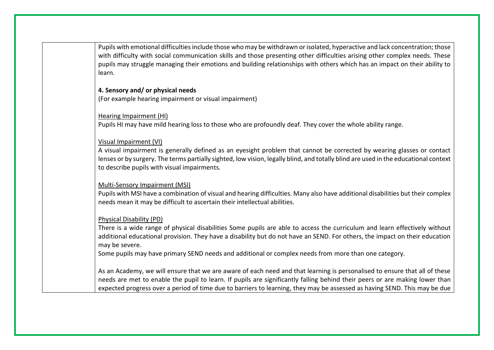Pupils with emotional difficulties include those who may be withdrawn or isolated, hyperactive and lack concentration; those with difficulty with social communication skills and those presenting other difficulties arising other complex needs. These pupils may struggle managing their emotions and building relationships with others which has an impact on their ability to learn.

#### **4. Sensory and/ or physical needs**

(For example hearing impairment or visual impairment)

#### Hearing Impairment (HI)

Pupils HI may have mild hearing loss to those who are profoundly deaf. They cover the whole ability range.

#### Visual Impairment (VI)

A visual impairment is generally defined as an eyesight problem that cannot be corrected by wearing glasses or contact lenses or by surgery. The terms partially sighted, low vision, legally blind, and totally blind are used in the educational context to describe pupils with visual impairments.

#### Multi-Sensory Impairment (MSI)

Pupils with MSI have a combination of visual and hearing difficulties. Many also have additional disabilities but their complex needs mean it may be difficult to ascertain their intellectual abilities.

## Physical Disability (PD)

There is a wide range of physical disabilities Some pupils are able to access the curriculum and learn effectively without additional educational provision. They have a disability but do not have an SEND. For others, the impact on their education may be severe.

Some pupils may have primary SEND needs and additional or complex needs from more than one category.

As an Academy, we will ensure that we are aware of each need and that learning is personalised to ensure that all of these needs are met to enable the pupil to learn. If pupils are significantly falling behind their peers or are making lower than expected progress over a period of time due to barriers to learning, they may be assessed as having SEND. This may be due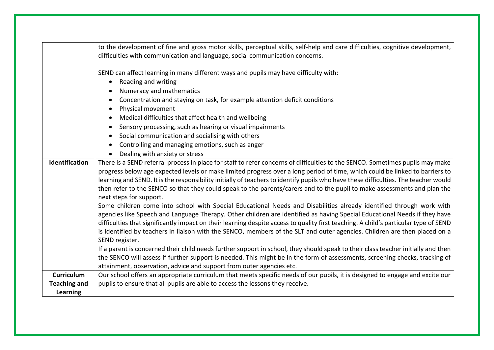|                                                                                                                                   | to the development of fine and gross motor skills, perceptual skills, self-help and care difficulties, cognitive development,                                                                                                                                                                                                                                                                                                                                                                                                                               |                                |  |
|-----------------------------------------------------------------------------------------------------------------------------------|-------------------------------------------------------------------------------------------------------------------------------------------------------------------------------------------------------------------------------------------------------------------------------------------------------------------------------------------------------------------------------------------------------------------------------------------------------------------------------------------------------------------------------------------------------------|--------------------------------|--|
|                                                                                                                                   | difficulties with communication and language, social communication concerns.                                                                                                                                                                                                                                                                                                                                                                                                                                                                                |                                |  |
|                                                                                                                                   | SEND can affect learning in many different ways and pupils may have difficulty with:                                                                                                                                                                                                                                                                                                                                                                                                                                                                        |                                |  |
|                                                                                                                                   | Reading and writing<br>$\bullet$                                                                                                                                                                                                                                                                                                                                                                                                                                                                                                                            |                                |  |
| Numeracy and mathematics<br>$\bullet$<br>Concentration and staying on task, for example attention deficit conditions<br>$\bullet$ |                                                                                                                                                                                                                                                                                                                                                                                                                                                                                                                                                             |                                |  |
|                                                                                                                                   |                                                                                                                                                                                                                                                                                                                                                                                                                                                                                                                                                             | Physical movement<br>$\bullet$ |  |
|                                                                                                                                   | Medical difficulties that affect health and wellbeing<br>$\bullet$                                                                                                                                                                                                                                                                                                                                                                                                                                                                                          |                                |  |
|                                                                                                                                   | Sensory processing, such as hearing or visual impairments<br>$\bullet$                                                                                                                                                                                                                                                                                                                                                                                                                                                                                      |                                |  |
|                                                                                                                                   | Social communication and socialising with others<br>$\bullet$                                                                                                                                                                                                                                                                                                                                                                                                                                                                                               |                                |  |
|                                                                                                                                   | Controlling and managing emotions, such as anger<br>$\bullet$                                                                                                                                                                                                                                                                                                                                                                                                                                                                                               |                                |  |
|                                                                                                                                   | Dealing with anxiety or stress                                                                                                                                                                                                                                                                                                                                                                                                                                                                                                                              |                                |  |
| Identification                                                                                                                    | There is a SEND referral process in place for staff to refer concerns of difficulties to the SENCO. Sometimes pupils may make<br>progress below age expected levels or make limited progress over a long period of time, which could be linked to barriers to<br>learning and SEND. It is the responsibility initially of teachers to identify pupils who have these difficulties. The teacher would<br>then refer to the SENCO so that they could speak to the parents/carers and to the pupil to make assessments and plan the<br>next steps for support. |                                |  |
|                                                                                                                                   | Some children come into school with Special Educational Needs and Disabilities already identified through work with<br>agencies like Speech and Language Therapy. Other children are identified as having Special Educational Needs if they have<br>difficulties that significantly impact on their learning despite access to quality first teaching. A child's particular type of SEND<br>is identified by teachers in liaison with the SENCO, members of the SLT and outer agencies. Children are then placed on a<br>SEND register.                     |                                |  |
|                                                                                                                                   | If a parent is concerned their child needs further support in school, they should speak to their class teacher initially and then<br>the SENCO will assess if further support is needed. This might be in the form of assessments, screening checks, tracking of<br>attainment, observation, advice and support from outer agencies etc.                                                                                                                                                                                                                    |                                |  |
| <b>Curriculum</b>                                                                                                                 | Our school offers an appropriate curriculum that meets specific needs of our pupils, it is designed to engage and excite our                                                                                                                                                                                                                                                                                                                                                                                                                                |                                |  |
| <b>Teaching and</b>                                                                                                               | pupils to ensure that all pupils are able to access the lessons they receive.                                                                                                                                                                                                                                                                                                                                                                                                                                                                               |                                |  |
| Learning                                                                                                                          |                                                                                                                                                                                                                                                                                                                                                                                                                                                                                                                                                             |                                |  |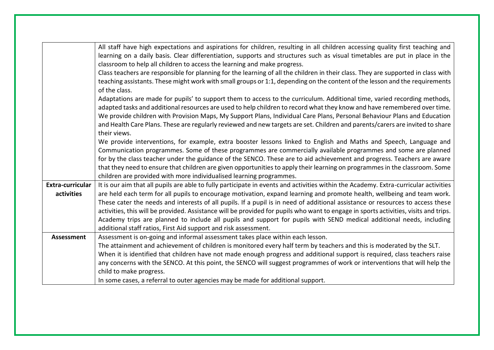|                   | All staff have high expectations and aspirations for children, resulting in all children accessing quality first teaching and        |  |  |  |
|-------------------|--------------------------------------------------------------------------------------------------------------------------------------|--|--|--|
|                   | learning on a daily basis. Clear differentiation, supports and structures such as visual timetables are put in place in the          |  |  |  |
|                   | classroom to help all children to access the learning and make progress.                                                             |  |  |  |
|                   | Class teachers are responsible for planning for the learning of all the children in their class. They are supported in class with    |  |  |  |
|                   | teaching assistants. These might work with small groups or 1:1, depending on the content of the lesson and the requirements          |  |  |  |
|                   |                                                                                                                                      |  |  |  |
|                   | of the class.                                                                                                                        |  |  |  |
|                   | Adaptations are made for pupils' to support them to access to the curriculum. Additional time, varied recording methods,             |  |  |  |
|                   | adapted tasks and additional resources are used to help children to record what they know and have remembered over time.             |  |  |  |
|                   | We provide children with Provision Maps, My Support Plans, Individual Care Plans, Personal Behaviour Plans and Education             |  |  |  |
|                   | and Health Care Plans. These are regularly reviewed and new targets are set. Children and parents/carers are invited to share        |  |  |  |
|                   | their views.                                                                                                                         |  |  |  |
|                   | We provide interventions, for example, extra booster lessons linked to English and Maths and Speech, Language and                    |  |  |  |
|                   | Communication programmes. Some of these programmes are commercially available programmes and some are planned                        |  |  |  |
|                   | for by the class teacher under the guidance of the SENCO. These are to aid achievement and progress. Teachers are aware              |  |  |  |
|                   | that they need to ensure that children are given opportunities to apply their learning on programmes in the classroom. Some          |  |  |  |
|                   | children are provided with more individualised learning programmes.                                                                  |  |  |  |
| Extra-curricular  | It is our aim that all pupils are able to fully participate in events and activities within the Academy. Extra-curricular activities |  |  |  |
| activities        | are held each term for all pupils to encourage motivation, expand learning and promote health, wellbeing and team work.              |  |  |  |
|                   | These cater the needs and interests of all pupils. If a pupil is in need of additional assistance or resources to access these       |  |  |  |
|                   | activities, this will be provided. Assistance will be provided for pupils who want to engage in sports activities, visits and trips. |  |  |  |
|                   | Academy trips are planned to include all pupils and support for pupils with SEND medical additional needs, including                 |  |  |  |
|                   | additional staff ratios, First Aid support and risk assessment.                                                                      |  |  |  |
| <b>Assessment</b> | Assessment is on-going and informal assessment takes place within each lesson.                                                       |  |  |  |
|                   | The attainment and achievement of children is monitored every half term by teachers and this is moderated by the SLT.                |  |  |  |
|                   | When it is identified that children have not made enough progress and additional support is required, class teachers raise           |  |  |  |
|                   | any concerns with the SENCO. At this point, the SENCO will suggest programmes of work or interventions that will help the            |  |  |  |
|                   | child to make progress.                                                                                                              |  |  |  |
|                   | In some cases, a referral to outer agencies may be made for additional support.                                                      |  |  |  |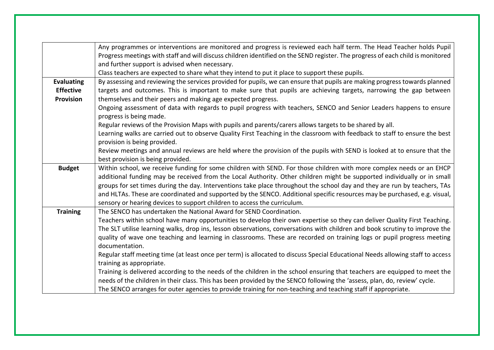|                   | Any programmes or interventions are monitored and progress is reviewed each half term. The Head Teacher holds Pupil<br>Progress meetings with staff and will discuss children identified on the SEND register. The progress of each child is monitored<br>and further support is advised when necessary.                                                                                                                                                                                                                                                                              |  |  |  |
|-------------------|---------------------------------------------------------------------------------------------------------------------------------------------------------------------------------------------------------------------------------------------------------------------------------------------------------------------------------------------------------------------------------------------------------------------------------------------------------------------------------------------------------------------------------------------------------------------------------------|--|--|--|
|                   | Class teachers are expected to share what they intend to put it place to support these pupils.                                                                                                                                                                                                                                                                                                                                                                                                                                                                                        |  |  |  |
| <b>Evaluating</b> | By assessing and reviewing the services provided for pupils, we can ensure that pupils are making progress towards planned                                                                                                                                                                                                                                                                                                                                                                                                                                                            |  |  |  |
| <b>Effective</b>  | targets and outcomes. This is important to make sure that pupils are achieving targets, narrowing the gap between                                                                                                                                                                                                                                                                                                                                                                                                                                                                     |  |  |  |
| Provision         | themselves and their peers and making age expected progress.                                                                                                                                                                                                                                                                                                                                                                                                                                                                                                                          |  |  |  |
|                   | Ongoing assessment of data with regards to pupil progress with teachers, SENCO and Senior Leaders happens to ensure<br>progress is being made.                                                                                                                                                                                                                                                                                                                                                                                                                                        |  |  |  |
|                   | Regular reviews of the Provision Maps with pupils and parents/carers allows targets to be shared by all.                                                                                                                                                                                                                                                                                                                                                                                                                                                                              |  |  |  |
|                   | Learning walks are carried out to observe Quality First Teaching in the classroom with feedback to staff to ensure the best                                                                                                                                                                                                                                                                                                                                                                                                                                                           |  |  |  |
|                   | provision is being provided.                                                                                                                                                                                                                                                                                                                                                                                                                                                                                                                                                          |  |  |  |
|                   | Review meetings and annual reviews are held where the provision of the pupils with SEND is looked at to ensure that the                                                                                                                                                                                                                                                                                                                                                                                                                                                               |  |  |  |
|                   | best provision is being provided.                                                                                                                                                                                                                                                                                                                                                                                                                                                                                                                                                     |  |  |  |
| <b>Budget</b>     | Within school, we receive funding for some children with SEND. For those children with more complex needs or an EHCP<br>additional funding may be received from the Local Authority. Other children might be supported individually or in small<br>groups for set times during the day. Interventions take place throughout the school day and they are run by teachers, TAs<br>and HLTAs. These are coordinated and supported by the SENCO. Additional specific resources may be purchased, e.g. visual,<br>sensory or hearing devices to support children to access the curriculum. |  |  |  |
| <b>Training</b>   | The SENCO has undertaken the National Award for SEND Coordination.                                                                                                                                                                                                                                                                                                                                                                                                                                                                                                                    |  |  |  |
|                   | Teachers within school have many opportunities to develop their own expertise so they can deliver Quality First Teaching.                                                                                                                                                                                                                                                                                                                                                                                                                                                             |  |  |  |
|                   | The SLT utilise learning walks, drop ins, lesson observations, conversations with children and book scrutiny to improve the                                                                                                                                                                                                                                                                                                                                                                                                                                                           |  |  |  |
|                   | quality of wave one teaching and learning in classrooms. These are recorded on training logs or pupil progress meeting<br>documentation.                                                                                                                                                                                                                                                                                                                                                                                                                                              |  |  |  |
|                   | Regular staff meeting time (at least once per term) is allocated to discuss Special Educational Needs allowing staff to access                                                                                                                                                                                                                                                                                                                                                                                                                                                        |  |  |  |
|                   | training as appropriate.<br>Training is delivered according to the needs of the children in the school ensuring that teachers are equipped to meet the                                                                                                                                                                                                                                                                                                                                                                                                                                |  |  |  |
|                   | needs of the children in their class. This has been provided by the SENCO following the 'assess, plan, do, review' cycle.                                                                                                                                                                                                                                                                                                                                                                                                                                                             |  |  |  |
|                   | The SENCO arranges for outer agencies to provide training for non-teaching and teaching staff if appropriate.                                                                                                                                                                                                                                                                                                                                                                                                                                                                         |  |  |  |
|                   |                                                                                                                                                                                                                                                                                                                                                                                                                                                                                                                                                                                       |  |  |  |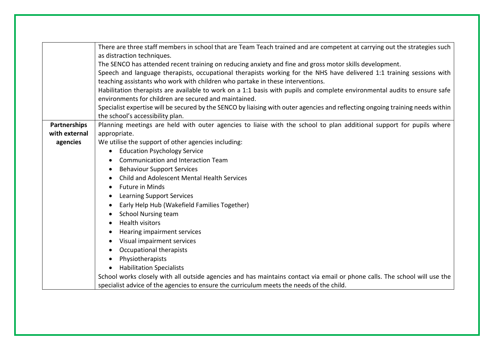|               | There are three staff members in school that are Team Teach trained and are competent at carrying out the strategies such      |  |  |  |
|---------------|--------------------------------------------------------------------------------------------------------------------------------|--|--|--|
|               | as distraction techniques.                                                                                                     |  |  |  |
|               | The SENCO has attended recent training on reducing anxiety and fine and gross motor skills development.                        |  |  |  |
|               | Speech and language therapists, occupational therapists working for the NHS have delivered 1:1 training sessions with          |  |  |  |
|               | teaching assistants who work with children who partake in these interventions.                                                 |  |  |  |
|               | Habilitation therapists are available to work on a 1:1 basis with pupils and complete environmental audits to ensure safe      |  |  |  |
|               | environments for children are secured and maintained.                                                                          |  |  |  |
|               | Specialist expertise will be secured by the SENCO by liaising with outer agencies and reflecting ongoing training needs within |  |  |  |
|               | the school's accessibility plan.                                                                                               |  |  |  |
| Partnerships  | Planning meetings are held with outer agencies to liaise with the school to plan additional support for pupils where           |  |  |  |
| with external | appropriate.                                                                                                                   |  |  |  |
| agencies      | We utilise the support of other agencies including:                                                                            |  |  |  |
|               | <b>Education Psychology Service</b><br>$\bullet$                                                                               |  |  |  |
|               | <b>Communication and Interaction Team</b>                                                                                      |  |  |  |
|               | <b>Behaviour Support Services</b><br>$\bullet$                                                                                 |  |  |  |
|               | Child and Adolescent Mental Health Services<br>$\bullet$                                                                       |  |  |  |
|               | <b>Future in Minds</b><br>٠                                                                                                    |  |  |  |
|               | <b>Learning Support Services</b><br>$\bullet$                                                                                  |  |  |  |
|               | Early Help Hub (Wakefield Families Together)<br>$\bullet$                                                                      |  |  |  |
|               | <b>School Nursing team</b><br>$\bullet$                                                                                        |  |  |  |
|               | <b>Health visitors</b><br>$\bullet$                                                                                            |  |  |  |
|               | Hearing impairment services                                                                                                    |  |  |  |
|               | Visual impairment services<br>$\bullet$                                                                                        |  |  |  |
|               | Occupational therapists<br>$\bullet$                                                                                           |  |  |  |
|               | Physiotherapists                                                                                                               |  |  |  |
|               | <b>Habilitation Specialists</b><br>$\bullet$                                                                                   |  |  |  |
|               | School works closely with all outside agencies and has maintains contact via email or phone calls. The school will use the     |  |  |  |
|               | specialist advice of the agencies to ensure the curriculum meets the needs of the child.                                       |  |  |  |
|               |                                                                                                                                |  |  |  |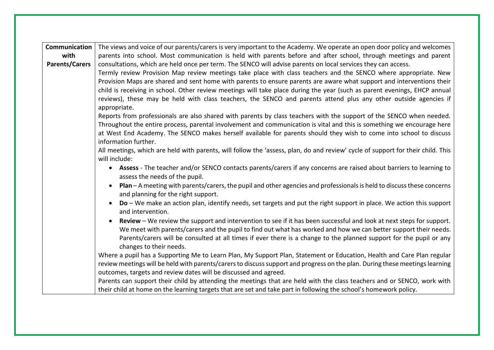| Communication         | The views and voice of our parents/carers is very important to the Academy. We operate an open door policy and welcomes                                           |  |  |  |
|-----------------------|-------------------------------------------------------------------------------------------------------------------------------------------------------------------|--|--|--|
| with                  | parents into school. Most communication is held with parents before and after school, through meetings and parent                                                 |  |  |  |
| <b>Parents/Carers</b> | consultations, which are held once per term. The SENCO will advise parents on local services they can access.                                                     |  |  |  |
|                       | Termly review Provision Map review meetings take place with class teachers and the SENCO where appropriate. New                                                   |  |  |  |
|                       | Provision Maps are shared and sent home with parents to ensure parents are aware what support and interventions their                                             |  |  |  |
|                       | child is receiving in school. Other review meetings will take place during the year (such as parent evenings, EHCP annual                                         |  |  |  |
|                       | reviews), these may be held with class teachers, the SENCO and parents attend plus any other outside agencies if                                                  |  |  |  |
|                       | appropriate.                                                                                                                                                      |  |  |  |
|                       | Reports from professionals are also shared with parents by class teachers with the support of the SENCO when needed.                                              |  |  |  |
|                       | Throughout the entire process, parental involvement and communication is vital and this is something we encourage here                                            |  |  |  |
|                       | at West End Academy. The SENCO makes herself available for parents should they wish to come into school to discuss                                                |  |  |  |
|                       | information further.                                                                                                                                              |  |  |  |
|                       | All meetings, which are held with parents, will follow the 'assess, plan, do and review' cycle of support for their child. This                                   |  |  |  |
|                       | will include:                                                                                                                                                     |  |  |  |
|                       | Assess - The teacher and/or SENCO contacts parents/carers if any concerns are raised about barriers to learning to<br>$\bullet$<br>assess the needs of the pupil. |  |  |  |
|                       | Plan $-A$ meeting with parents/carers, the pupil and other agencies and professionals is held to discuss these concerns<br>and planning for the right support.    |  |  |  |
|                       | $Do - We$ make an action plan, identify needs, set targets and put the right support in place. We action this support<br>$\bullet$<br>and intervention.           |  |  |  |
|                       | Review - We review the support and intervention to see if it has been successful and look at next steps for support.<br>$\bullet$                                 |  |  |  |
|                       | We meet with parents/carers and the pupil to find out what has worked and how we can better support their needs.                                                  |  |  |  |
|                       | Parents/carers will be consulted at all times if ever there is a change to the planned support for the pupil or any<br>changes to their needs.                    |  |  |  |
|                       | Where a pupil has a Supporting Me to Learn Plan, My Support Plan, Statement or Education, Health and Care Plan regular                                            |  |  |  |
|                       | review meetings will be held with parents/carers to discuss support and progress on the plan. During these meetings learning                                      |  |  |  |
|                       | outcomes, targets and review dates will be discussed and agreed.                                                                                                  |  |  |  |
|                       | Parents can support their child by attending the meetings that are held with the class teachers and or SENCO, work with                                           |  |  |  |
|                       | their child at home on the learning targets that are set and take part in following the school's homework policy.                                                 |  |  |  |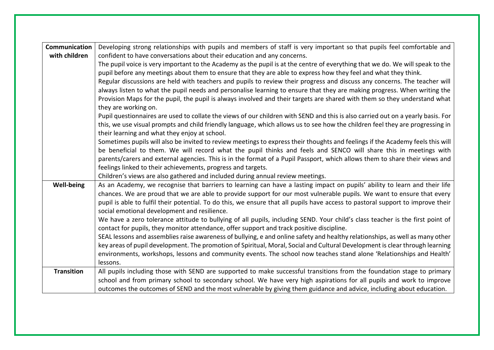| Communication     | Developing strong relationships with pupils and members of staff is very important so that pupils feel comfortable and           |  |  |
|-------------------|----------------------------------------------------------------------------------------------------------------------------------|--|--|
| with children     | confident to have conversations about their education and any concerns.                                                          |  |  |
|                   | The pupil voice is very important to the Academy as the pupil is at the centre of everything that we do. We will speak to the    |  |  |
|                   | pupil before any meetings about them to ensure that they are able to express how they feel and what they think.                  |  |  |
|                   | Regular discussions are held with teachers and pupils to review their progress and discuss any concerns. The teacher will        |  |  |
|                   | always listen to what the pupil needs and personalise learning to ensure that they are making progress. When writing the         |  |  |
|                   | Provision Maps for the pupil, the pupil is always involved and their targets are shared with them so they understand what        |  |  |
|                   | they are working on.                                                                                                             |  |  |
|                   | Pupil questionnaires are used to collate the views of our children with SEND and this is also carried out on a yearly basis. For |  |  |
|                   | this, we use visual prompts and child friendly language, which allows us to see how the children feel they are progressing in    |  |  |
|                   | their learning and what they enjoy at school.                                                                                    |  |  |
|                   | Sometimes pupils will also be invited to review meetings to express their thoughts and feelings if the Academy feels this will   |  |  |
|                   | be beneficial to them. We will record what the pupil thinks and feels and SENCO will share this in meetings with                 |  |  |
|                   | parents/carers and external agencies. This is in the format of a Pupil Passport, which allows them to share their views and      |  |  |
|                   | feelings linked to their achievements, progress and targets.                                                                     |  |  |
|                   | Children's views are also gathered and included during annual review meetings.                                                   |  |  |
| <b>Well-being</b> | As an Academy, we recognise that barriers to learning can have a lasting impact on pupils' ability to learn and their life       |  |  |
|                   | chances. We are proud that we are able to provide support for our most vulnerable pupils. We want to ensure that every           |  |  |
|                   | pupil is able to fulfil their potential. To do this, we ensure that all pupils have access to pastoral support to improve their  |  |  |
|                   | social emotional development and resilience.                                                                                     |  |  |
|                   | We have a zero tolerance attitude to bullying of all pupils, including SEND. Your child's class teacher is the first point of    |  |  |
|                   | contact for pupils, they monitor attendance, offer support and track positive discipline.                                        |  |  |
|                   | SEAL lessons and assemblies raise awareness of bullying, e and online safety and healthy relationships, as well as many other    |  |  |
|                   | key areas of pupil development. The promotion of Spiritual, Moral, Social and Cultural Development is clear through learning     |  |  |
|                   | environments, workshops, lessons and community events. The school now teaches stand alone 'Relationships and Health'             |  |  |
|                   | lessons.                                                                                                                         |  |  |
| <b>Transition</b> | All pupils including those with SEND are supported to make successful transitions from the foundation stage to primary           |  |  |
|                   | school and from primary school to secondary school. We have very high aspirations for all pupils and work to improve             |  |  |
|                   | outcomes the outcomes of SEND and the most vulnerable by giving them guidance and advice, including about education.             |  |  |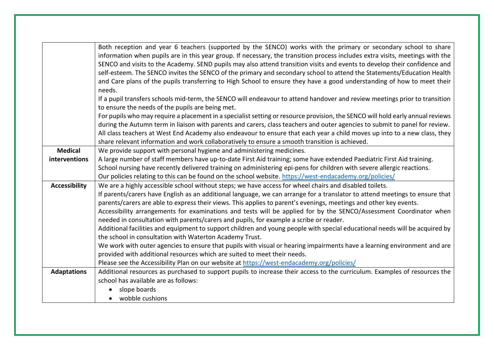|                      | Both reception and year 6 teachers (supported by the SENCO) works with the primary or secondary school to share<br>information when pupils are in this year group. If necessary, the transition process includes extra visits, meetings with the |  |  |  |
|----------------------|--------------------------------------------------------------------------------------------------------------------------------------------------------------------------------------------------------------------------------------------------|--|--|--|
|                      | SENCO and visits to the Academy. SEND pupils may also attend transition visits and events to develop their confidence and                                                                                                                        |  |  |  |
|                      | self-esteem. The SENCO invites the SENCO of the primary and secondary school to attend the Statements/Education Health                                                                                                                           |  |  |  |
|                      | and Care plans of the pupils transferring to High School to ensure they have a good understanding of how to meet their                                                                                                                           |  |  |  |
|                      | needs.                                                                                                                                                                                                                                           |  |  |  |
|                      | If a pupil transfers schools mid-term, the SENCO will endeavour to attend handover and review meetings prior to transition                                                                                                                       |  |  |  |
|                      | to ensure the needs of the pupils are being met.                                                                                                                                                                                                 |  |  |  |
|                      | For pupils who may require a placement in a specialist setting or resource provision, the SENCO will hold early annual reviews                                                                                                                   |  |  |  |
|                      | during the Autumn term in liaison with parents and carers, class teachers and outer agencies to submit to panel for review.                                                                                                                      |  |  |  |
|                      | All class teachers at West End Academy also endeavour to ensure that each year a child moves up into to a new class, they                                                                                                                        |  |  |  |
|                      | share relevant information and work collaboratively to ensure a smooth transition is achieved.                                                                                                                                                   |  |  |  |
| <b>Medical</b>       | We provide support with personal hygiene and administering medicines.                                                                                                                                                                            |  |  |  |
| interventions        | A large number of staff members have up-to-date First Aid training; some have extended Paediatric First Aid training.                                                                                                                            |  |  |  |
|                      | School nursing have recently delivered training on administering epi-pens for children with severe allergic reactions.                                                                                                                           |  |  |  |
|                      | Our policies relating to this can be found on the school website. https://west-endacademy.org/policies/                                                                                                                                          |  |  |  |
| <b>Accessibility</b> | We are a highly accessible school without steps; we have access for wheel chairs and disabled toilets.                                                                                                                                           |  |  |  |
|                      | If parents/carers have English as an additional language, we can arrange for a translator to attend meetings to ensure that<br>parents/carers are able to express their views. This applies to parent's evenings, meetings and other key events. |  |  |  |
|                      | Accessibility arrangements for examinations and tests will be applied for by the SENCO/Assessment Coordinator when                                                                                                                               |  |  |  |
|                      | needed in consultation with parents/carers and pupils, for example a scribe or reader.                                                                                                                                                           |  |  |  |
|                      | Additional facilities and equipment to support children and young people with special educational needs will be acquired by<br>the school in consultation with Waterton Academy Trust.                                                           |  |  |  |
|                      | We work with outer agencies to ensure that pupils with visual or hearing impairments have a learning environment and are                                                                                                                         |  |  |  |
|                      | provided with additional resources which are suited to meet their needs.                                                                                                                                                                         |  |  |  |
|                      | Please see the Accessibility Plan on our website at https://west-endacademy.org/policies/                                                                                                                                                        |  |  |  |
| <b>Adaptations</b>   | Additional resources as purchased to support pupils to increase their access to the curriculum. Examples of resources the                                                                                                                        |  |  |  |
|                      | school has available are as follows:                                                                                                                                                                                                             |  |  |  |
|                      | slope boards<br>$\bullet$                                                                                                                                                                                                                        |  |  |  |
|                      | • wobble cushions                                                                                                                                                                                                                                |  |  |  |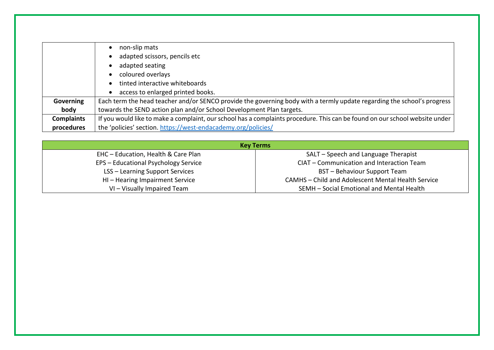|                   | non-slip mats                                                                                                               |  |
|-------------------|-----------------------------------------------------------------------------------------------------------------------------|--|
|                   | adapted scissors, pencils etc                                                                                               |  |
|                   | adapted seating                                                                                                             |  |
|                   | coloured overlays                                                                                                           |  |
|                   | tinted interactive whiteboards                                                                                              |  |
|                   | access to enlarged printed books.                                                                                           |  |
| Governing         | Each term the head teacher and/or SENCO provide the governing body with a termly update regarding the school's progress     |  |
| body              | towards the SEND action plan and/or School Development Plan targets.                                                        |  |
| <b>Complaints</b> | If you would like to make a complaint, our school has a complaints procedure. This can be found on our school website under |  |
| procedures        | the 'policies' section. https://west-endacademy.org/policies/                                                               |  |

| <b>Key Terms</b>                       |                                                    |  |
|----------------------------------------|----------------------------------------------------|--|
| EHC - Education, Health & Care Plan    | SALT - Speech and Language Therapist               |  |
| EPS - Educational Psychology Service   | CIAT - Communication and Interaction Team          |  |
| <b>LSS - Learning Support Services</b> | BST - Behaviour Support Team                       |  |
| HI-Hearing Impairment Service          | CAMHS - Child and Adolescent Mental Health Service |  |
| VI - Visually Impaired Team            | SEMH - Social Emotional and Mental Health          |  |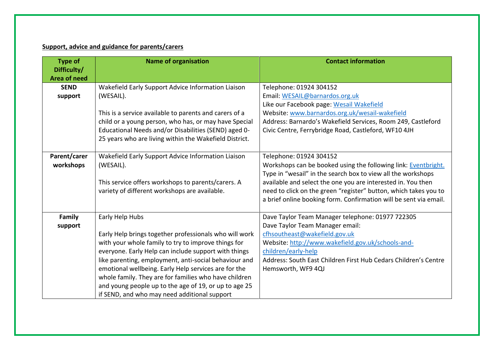## **Support, advice and guidance for parents/carers**

| <b>Type of</b>                     | <b>Name of organisation</b>                                                                                    | <b>Contact information</b>                                                                 |
|------------------------------------|----------------------------------------------------------------------------------------------------------------|--------------------------------------------------------------------------------------------|
| Difficulty/                        |                                                                                                                |                                                                                            |
| <b>Area of need</b><br><b>SEND</b> |                                                                                                                |                                                                                            |
|                                    | Wakefield Early Support Advice Information Liaison                                                             | Telephone: 01924 304152                                                                    |
| support                            | (WESAIL).                                                                                                      | Email: WESAIL@barnardos.org.uk                                                             |
|                                    |                                                                                                                | Like our Facebook page: Wesail Wakefield<br>Website: www.barnardos.org.uk/wesail-wakefield |
|                                    | This is a service available to parents and carers of a                                                         | Address: Barnardo's Wakefield Services, Room 249, Castleford                               |
|                                    | child or a young person, who has, or may have Special                                                          |                                                                                            |
|                                    | Educational Needs and/or Disabilities (SEND) aged 0-<br>25 years who are living within the Wakefield District. | Civic Centre, Ferrybridge Road, Castleford, WF10 4JH                                       |
|                                    |                                                                                                                |                                                                                            |
| Parent/carer                       | Wakefield Early Support Advice Information Liaison                                                             | Telephone: 01924 304152                                                                    |
| workshops                          | (WESAIL).                                                                                                      | Workshops can be booked using the following link: Eventbright.                             |
|                                    |                                                                                                                | Type in "wesail" in the search box to view all the workshops                               |
|                                    | This service offers workshops to parents/carers. A                                                             | available and select the one you are interested in. You then                               |
|                                    | variety of different workshops are available.                                                                  | need to click on the green "register" button, which takes you to                           |
|                                    |                                                                                                                | a brief online booking form. Confirmation will be sent via email.                          |
|                                    |                                                                                                                |                                                                                            |
| Family                             | Early Help Hubs                                                                                                | Dave Taylor Team Manager telephone: 01977 722305                                           |
| support                            |                                                                                                                | Dave Taylor Team Manager email:                                                            |
|                                    | Early Help brings together professionals who will work                                                         | cfhsoutheast@wakefield.gov.uk                                                              |
|                                    | with your whole family to try to improve things for                                                            | Website: http://www.wakefield.gov.uk/schools-and-                                          |
|                                    | everyone. Early Help can include support with things                                                           | children/early-help                                                                        |
|                                    | like parenting, employment, anti-social behaviour and                                                          | Address: South East Children First Hub Cedars Children's Centre                            |
|                                    | emotional wellbeing. Early Help services are for the                                                           | Hemsworth, WF9 4QJ                                                                         |
|                                    | whole family. They are for families who have children                                                          |                                                                                            |
|                                    | and young people up to the age of 19, or up to age 25                                                          |                                                                                            |
|                                    | if SEND, and who may need additional support                                                                   |                                                                                            |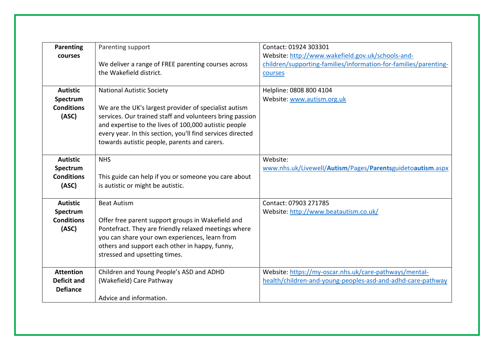| Parenting<br>courses                                      | Parenting support<br>We deliver a range of FREE parenting courses across<br>the Wakefield district.                                                                                                                                                                                                                          | Contact: 01924 303301<br>Website: http://www.wakefield.gov.uk/schools-and-<br>children/supporting-families/information-for-families/parenting-<br>courses |
|-----------------------------------------------------------|------------------------------------------------------------------------------------------------------------------------------------------------------------------------------------------------------------------------------------------------------------------------------------------------------------------------------|-----------------------------------------------------------------------------------------------------------------------------------------------------------|
| <b>Autistic</b><br>Spectrum<br><b>Conditions</b><br>(ASC) | <b>National Autistic Society</b><br>We are the UK's largest provider of specialist autism<br>services. Our trained staff and volunteers bring passion<br>and expertise to the lives of 100,000 autistic people<br>every year. In this section, you'll find services directed<br>towards autistic people, parents and carers. | Helpline: 0808 800 4104<br>Website: www.autism.org.uk                                                                                                     |
| <b>Autistic</b><br>Spectrum<br><b>Conditions</b><br>(ASC) | <b>NHS</b><br>This guide can help if you or someone you care about<br>is autistic or might be autistic.                                                                                                                                                                                                                      | Website:<br>www.nhs.uk/Livewell/Autism/Pages/Parentsguidetoautism.aspx                                                                                    |
| <b>Autistic</b><br>Spectrum<br><b>Conditions</b><br>(ASC) | <b>Beat Autism</b><br>Offer free parent support groups in Wakefield and<br>Pontefract. They are friendly relaxed meetings where<br>you can share your own experiences, learn from<br>others and support each other in happy, funny,<br>stressed and upsetting times.                                                         | Contact: 07903 271785<br>Website: http://www.beatautism.co.uk/                                                                                            |
| <b>Attention</b><br><b>Deficit and</b><br><b>Defiance</b> | Children and Young People's ASD and ADHD<br>(Wakefield) Care Pathway<br>Advice and information.                                                                                                                                                                                                                              | Website: https://my-oscar.nhs.uk/care-pathways/mental-<br>health/children-and-young-peoples-asd-and-adhd-care-pathway                                     |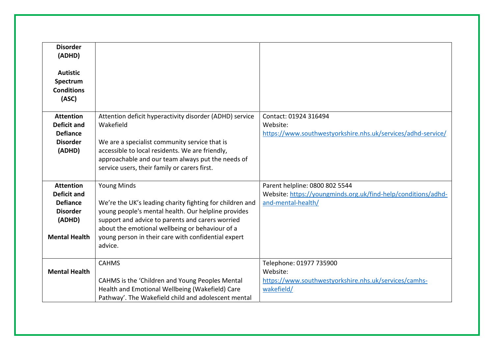| <b>Disorder</b><br>(ADHD)<br><b>Autistic</b><br>Spectrum<br><b>Conditions</b><br>(ASC)                         |                                                                                                                                                                                                                                                                                                                |                                                                                                                       |
|----------------------------------------------------------------------------------------------------------------|----------------------------------------------------------------------------------------------------------------------------------------------------------------------------------------------------------------------------------------------------------------------------------------------------------------|-----------------------------------------------------------------------------------------------------------------------|
| <b>Attention</b><br><b>Deficit and</b><br><b>Defiance</b><br><b>Disorder</b><br>(ADHD)                         | Attention deficit hyperactivity disorder (ADHD) service<br>Wakefield<br>We are a specialist community service that is<br>accessible to local residents. We are friendly,<br>approachable and our team always put the needs of<br>service users, their family or carers first.                                  | Contact: 01924 316494<br>Website:<br>https://www.southwestyorkshire.nhs.uk/services/adhd-service/                     |
| <b>Attention</b><br><b>Deficit and</b><br><b>Defiance</b><br><b>Disorder</b><br>(ADHD)<br><b>Mental Health</b> | <b>Young Minds</b><br>We're the UK's leading charity fighting for children and<br>young people's mental health. Our helpline provides<br>support and advice to parents and carers worried<br>about the emotional wellbeing or behaviour of a<br>young person in their care with confidential expert<br>advice. | Parent helpline: 0800 802 5544<br>Website: https://youngminds.org.uk/find-help/conditions/adhd-<br>and-mental-health/ |
| <b>Mental Health</b>                                                                                           | <b>CAHMS</b><br>CAHMS is the 'Children and Young Peoples Mental<br>Health and Emotional Wellbeing (Wakefield) Care<br>Pathway'. The Wakefield child and adolescent mental                                                                                                                                      | Telephone: 01977 735900<br>Website:<br>https://www.southwestyorkshire.nhs.uk/services/camhs-<br>wakefield/            |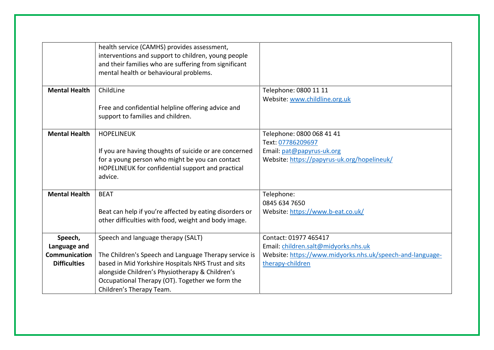|                                                                 | health service (CAMHS) provides assessment,<br>interventions and support to children, young people<br>and their families who are suffering from significant<br>mental health or behavioural problems.                                                                                |                                                                                                                                                |
|-----------------------------------------------------------------|--------------------------------------------------------------------------------------------------------------------------------------------------------------------------------------------------------------------------------------------------------------------------------------|------------------------------------------------------------------------------------------------------------------------------------------------|
| <b>Mental Health</b>                                            | ChildLine<br>Free and confidential helpline offering advice and<br>support to families and children.                                                                                                                                                                                 | Telephone: 0800 11 11<br>Website: www.childline.org.uk                                                                                         |
| <b>Mental Health</b>                                            | <b>HOPELINEUK</b><br>If you are having thoughts of suicide or are concerned<br>for a young person who might be you can contact<br>HOPELINEUK for confidential support and practical<br>advice.                                                                                       | Telephone: 0800 068 41 41<br>Text: 07786209697<br>Email: pat@papyrus-uk.org<br>Website: https://papyrus-uk.org/hopelineuk/                     |
| <b>Mental Health</b>                                            | <b>BEAT</b><br>Beat can help if you're affected by eating disorders or<br>other difficulties with food, weight and body image.                                                                                                                                                       | Telephone:<br>0845 634 7650<br>Website: https://www.b-eat.co.uk/                                                                               |
| Speech,<br>Language and<br>Communication<br><b>Difficulties</b> | Speech and language therapy (SALT)<br>The Children's Speech and Language Therapy service is<br>based in Mid Yorkshire Hospitals NHS Trust and sits<br>alongside Children's Physiotherapy & Children's<br>Occupational Therapy (OT). Together we form the<br>Children's Therapy Team. | Contact: 01977 465417<br>Email: children.salt@midyorks.nhs.uk<br>Website: https://www.midyorks.nhs.uk/speech-and-language-<br>therapy-children |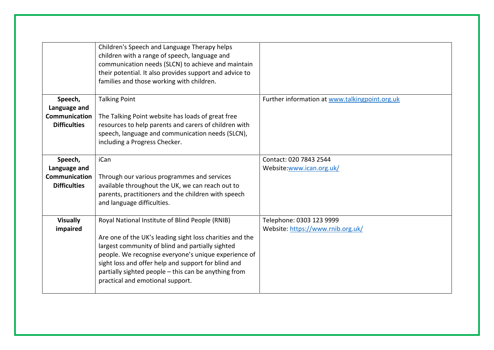|                                                                 | Children's Speech and Language Therapy helps<br>children with a range of speech, language and<br>communication needs (SLCN) to achieve and maintain<br>their potential. It also provides support and advice to<br>families and those working with children.                                                                                                                |                                                               |
|-----------------------------------------------------------------|----------------------------------------------------------------------------------------------------------------------------------------------------------------------------------------------------------------------------------------------------------------------------------------------------------------------------------------------------------------------------|---------------------------------------------------------------|
| Speech,<br>Language and<br>Communication<br><b>Difficulties</b> | <b>Talking Point</b><br>The Talking Point website has loads of great free<br>resources to help parents and carers of children with<br>speech, language and communication needs (SLCN),<br>including a Progress Checker.                                                                                                                                                    | Further information at www.talkingpoint.org.uk                |
| Speech,<br>Language and<br>Communication<br><b>Difficulties</b> | <b>iCan</b><br>Through our various programmes and services<br>available throughout the UK, we can reach out to<br>parents, practitioners and the children with speech<br>and language difficulties.                                                                                                                                                                        | Contact: 020 7843 2544<br>Website:www.ican.org.uk/            |
| <b>Visually</b><br>impaired                                     | Royal National Institute of Blind People (RNIB)<br>Are one of the UK's leading sight loss charities and the<br>largest community of blind and partially sighted<br>people. We recognise everyone's unique experience of<br>sight loss and offer help and support for blind and<br>partially sighted people - this can be anything from<br>practical and emotional support. | Telephone: 0303 123 9999<br>Website: https://www.rnib.org.uk/ |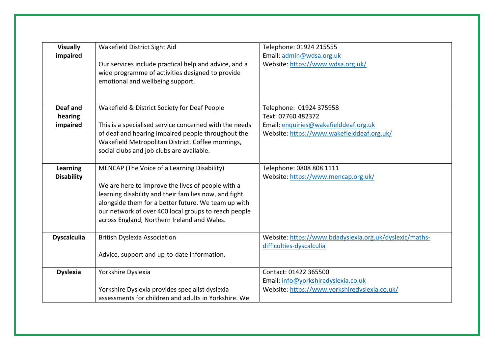| <b>Visually</b><br>impaired          | Wakefield District Sight Aid                                                                                                                                                                                                                                                                                            | Telephone: 01924 215555<br>Email: admin@wdsa.org.uk                                                                                  |
|--------------------------------------|-------------------------------------------------------------------------------------------------------------------------------------------------------------------------------------------------------------------------------------------------------------------------------------------------------------------------|--------------------------------------------------------------------------------------------------------------------------------------|
|                                      | Our services include practical help and advice, and a<br>wide programme of activities designed to provide<br>emotional and wellbeing support.                                                                                                                                                                           | Website: https://www.wdsa.org.uk/                                                                                                    |
| Deaf and<br>hearing<br>impaired      | Wakefield & District Society for Deaf People<br>This is a specialised service concerned with the needs<br>of deaf and hearing impaired people throughout the<br>Wakefield Metropolitan District. Coffee mornings,<br>social clubs and job clubs are available.                                                          | Telephone: 01924 375958<br>Text: 07760 482372<br>Email: enquiries@wakefielddeaf.org.uk<br>Website: https://www.wakefielddeaf.org.uk/ |
| <b>Learning</b><br><b>Disability</b> | MENCAP (The Voice of a Learning Disability)<br>We are here to improve the lives of people with a<br>learning disability and their families now, and fight<br>alongside them for a better future. We team up with<br>our network of over 400 local groups to reach people<br>across England, Northern Ireland and Wales. | Telephone: 0808 808 1111<br>Website: https://www.mencap.org.uk/                                                                      |
| <b>Dyscalculia</b>                   | <b>British Dyslexia Association</b><br>Advice, support and up-to-date information.                                                                                                                                                                                                                                      | Website: https://www.bdadyslexia.org.uk/dyslexic/maths-<br>difficulties-dyscalculia                                                  |
| <b>Dyslexia</b>                      | Yorkshire Dyslexia<br>Yorkshire Dyslexia provides specialist dyslexia<br>assessments for children and adults in Yorkshire. We                                                                                                                                                                                           | Contact: 01422 365500<br>Email: info@yorkshiredyslexia.co.uk<br>Website: https://www.yorkshiredyslexia.co.uk/                        |